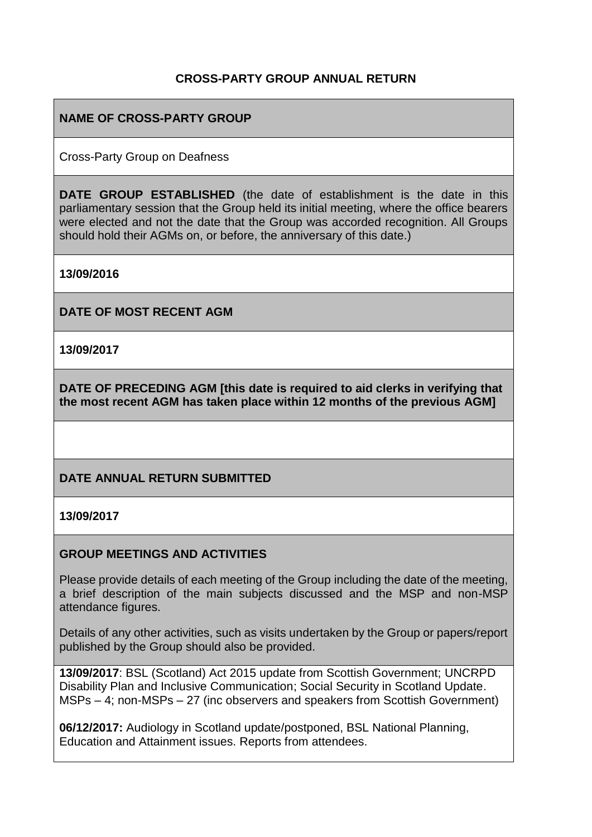#### **CROSS-PARTY GROUP ANNUAL RETURN**

### **NAME OF CROSS-PARTY GROUP**

Cross-Party Group on Deafness

**DATE GROUP ESTABLISHED** (the date of establishment is the date in this parliamentary session that the Group held its initial meeting, where the office bearers were elected and not the date that the Group was accorded recognition. All Groups should hold their AGMs on, or before, the anniversary of this date.)

**13/09/2016**

**DATE OF MOST RECENT AGM**

**13/09/2017**

**DATE OF PRECEDING AGM [this date is required to aid clerks in verifying that the most recent AGM has taken place within 12 months of the previous AGM]**

#### **DATE ANNUAL RETURN SUBMITTED**

#### **13/09/2017**

#### **GROUP MEETINGS AND ACTIVITIES**

Please provide details of each meeting of the Group including the date of the meeting, a brief description of the main subjects discussed and the MSP and non-MSP attendance figures.

Details of any other activities, such as visits undertaken by the Group or papers/report published by the Group should also be provided.

**13/09/2017**: BSL (Scotland) Act 2015 update from Scottish Government; UNCRPD Disability Plan and Inclusive Communication; Social Security in Scotland Update. MSPs – 4; non-MSPs – 27 (inc observers and speakers from Scottish Government)

**06/12/2017:** Audiology in Scotland update/postponed, BSL National Planning, Education and Attainment issues. Reports from attendees.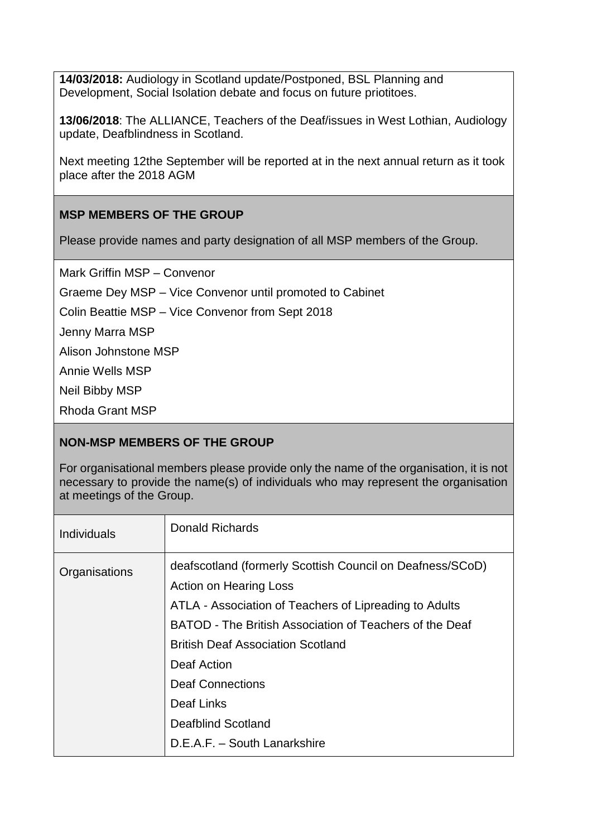**14/03/2018:** Audiology in Scotland update/Postponed, BSL Planning and Development, Social Isolation debate and focus on future priotitoes.

**13/06/2018**: The ALLIANCE, Teachers of the Deaf/issues in West Lothian, Audiology update, Deafblindness in Scotland.

Next meeting 12the September will be reported at in the next annual return as it took place after the 2018 AGM

### **MSP MEMBERS OF THE GROUP**

Please provide names and party designation of all MSP members of the Group.

Mark Griffin MSP – Convenor

Graeme Dey MSP – Vice Convenor until promoted to Cabinet

Colin Beattie MSP – Vice Convenor from Sept 2018

Jenny Marra MSP

Alison Johnstone MSP

Annie Wells MSP

Neil Bibby MSP

Rhoda Grant MSP

## **NON-MSP MEMBERS OF THE GROUP**

For organisational members please provide only the name of the organisation, it is not necessary to provide the name(s) of individuals who may represent the organisation at meetings of the Group.

| <b>Individuals</b> | <b>Donald Richards</b>                                                                                                                                                                                                                                                                                                                                                    |
|--------------------|---------------------------------------------------------------------------------------------------------------------------------------------------------------------------------------------------------------------------------------------------------------------------------------------------------------------------------------------------------------------------|
| Organisations      | deafscotland (formerly Scottish Council on Deafness/SCoD)<br><b>Action on Hearing Loss</b><br>ATLA - Association of Teachers of Lipreading to Adults<br>BATOD - The British Association of Teachers of the Deaf<br><b>British Deaf Association Scotland</b><br>Deaf Action<br><b>Deaf Connections</b><br>Deaf Links<br>Deafblind Scotland<br>D.E.A.F. - South Lanarkshire |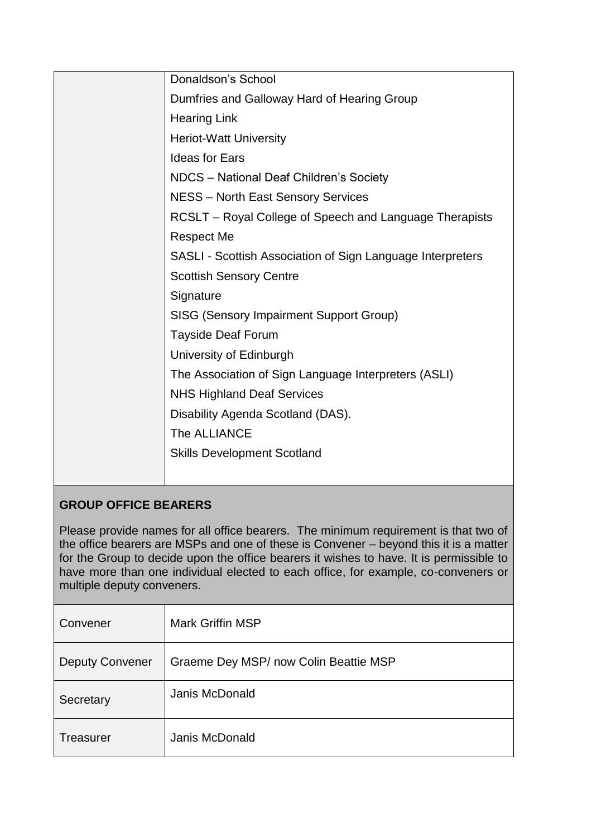| Donaldson's School                                         |
|------------------------------------------------------------|
| Dumfries and Galloway Hard of Hearing Group                |
| <b>Hearing Link</b>                                        |
| <b>Heriot-Watt University</b>                              |
| <b>Ideas for Ears</b>                                      |
| NDCS - National Deaf Children's Society                    |
| <b>NESS - North East Sensory Services</b>                  |
| RCSLT - Royal College of Speech and Language Therapists    |
| <b>Respect Me</b>                                          |
| SASLI - Scottish Association of Sign Language Interpreters |
| <b>Scottish Sensory Centre</b>                             |
| Signature                                                  |
| <b>SISG (Sensory Impairment Support Group)</b>             |
| <b>Tayside Deaf Forum</b>                                  |
| University of Edinburgh                                    |
| The Association of Sign Language Interpreters (ASLI)       |
| <b>NHS Highland Deaf Services</b>                          |
| Disability Agenda Scotland (DAS).                          |
| The ALLIANCE                                               |
| <b>Skills Development Scotland</b>                         |
|                                                            |

# **GROUP OFFICE BEARERS**

Please provide names for all office bearers. The minimum requirement is that two of the office bearers are MSPs and one of these is Convener – beyond this it is a matter for the Group to decide upon the office bearers it wishes to have. It is permissible to have more than one individual elected to each office, for example, co-conveners or multiple deputy conveners.

| Convener               | <b>Mark Griffin MSP</b>               |
|------------------------|---------------------------------------|
| <b>Deputy Convener</b> | Graeme Dey MSP/ now Colin Beattie MSP |
| Secretary              | Janis McDonald                        |
| Treasurer              | Janis McDonald                        |